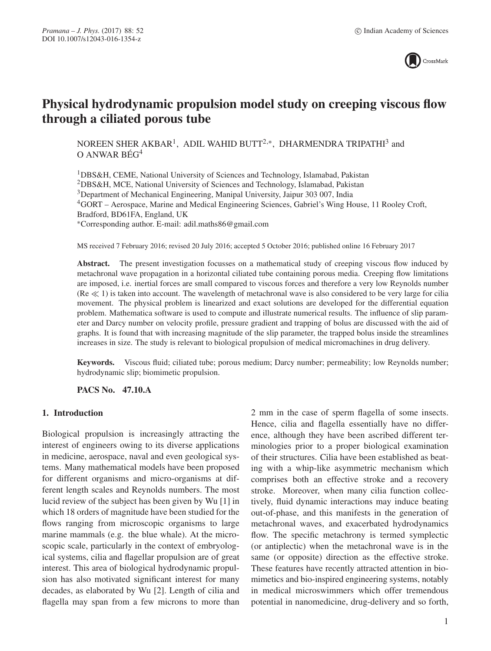

# **Physical hydrodynamic propulsion model study on creeping viscous flow through a ciliated porous tube**

NOREEN SHER AKBAR<sup>1</sup>, ADIL WAHID BUTT<sup>2,\*</sup>, DHARMENDRA TRIPATHI<sup>3</sup> and  $O$  ANWAR BEG<sup>4</sup>

1DBS&H, CEME, National University of Sciences and Technology, Islamabad, Pakistan 2DBS&H, MCE, National University of Sciences and Technology, Islamabad, Pakistan 3Department of Mechanical Engineering, Manipal University, Jaipur 303 007, India 4GORT – Aerospace, Marine and Medical Engineering Sciences, Gabriel's Wing House, 11 Rooley Croft, Bradford, BD61FA, England, UK ∗Corresponding author. E-mail: adil.maths86@gmail.com

MS received 7 February 2016; revised 20 July 2016; accepted 5 October 2016; published online 16 February 2017

Abstract. The present investigation focusses on a mathematical study of creeping viscous flow induced by metachronal wave propagation in a horizontal ciliated tube containing porous media. Creeping flow limitations are imposed, i.e. inertial forces are small compared to viscous forces and therefore a very low Reynolds number  $(Re \ll 1)$  is taken into account. The wavelength of metachronal wave is also considered to be very large for cilia movement. The physical problem is linearized and exact solutions are developed for the differential equation problem. Mathematica software is used to compute and illustrate numerical results. The influence of slip parameter and Darcy number on velocity profile, pressure gradient and trapping of bolus are discussed with the aid of graphs. It is found that with increasing magnitude of the slip parameter, the trapped bolus inside the streamlines increases in size. The study is relevant to biological propulsion of medical micromachines in drug delivery.

**Keywords.** Viscous fluid; ciliated tube; porous medium; Darcy number; permeability; low Reynolds number; hydrodynamic slip; biomimetic propulsion.

**PACS No. 47.10.A**

#### **1. Introduction**

Biological propulsion is increasingly attracting the interest of engineers owing to its diverse applications in medicine, aerospace, naval and even geological systems. Many mathematical models have been proposed for different organisms and micro-organisms at different length scales and Reynolds numbers. The most lucid review of the subject has been given by Wu [1] in which 18 orders of magnitude have been studied for the flows ranging from microscopic organisms to large marine mammals (e.g. the blue whale). At the microscopic scale, particularly in the context of embryological systems, cilia and flagellar propulsion are of great interest. This area of biological hydrodynamic propulsion has also motivated significant interest for many decades, as elaborated by Wu [2]. Length of cilia and flagella may span from a few microns to more than 2 mm in the case of sperm flagella of some insects. Hence, cilia and flagella essentially have no difference, although they have been ascribed different terminologies prior to a proper biological examination of their structures. Cilia have been established as beating with a whip-like asymmetric mechanism which comprises both an effective stroke and a recovery stroke. Moreover, when many cilia function collectively, fluid dynamic interactions may induce beating out-of-phase, and this manifests in the generation of metachronal waves, and exacerbated hydrodynamics flow. The specific metachrony is termed symplectic (or antiplectic) when the metachronal wave is in the same (or opposite) direction as the effective stroke. These features have recently attracted attention in biomimetics and bio-inspired engineering systems, notably in medical microswimmers which offer tremendous potential in nanomedicine, drug-delivery and so forth,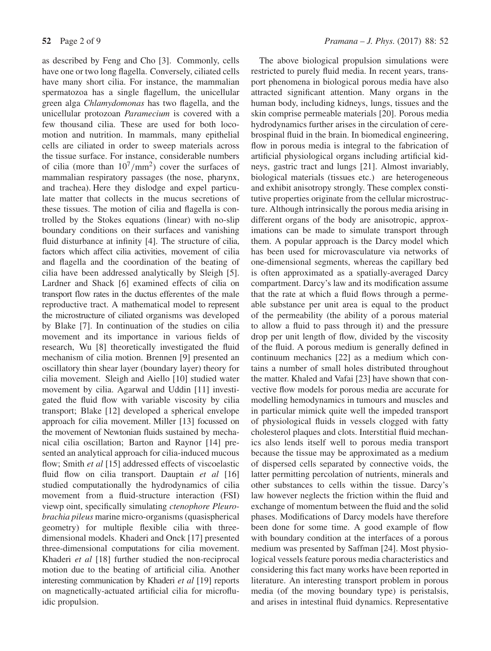as described by Feng and Cho [3]. Commonly, cells have one or two long flagella. Conversely, ciliated cells have many short cilia. For instance, the mammalian spermatozoa has a single flagellum, the unicellular green alga *Chlamydomonas* has two flagella, and the unicellular protozoan *Paramecium* is covered with a few thousand cilia. These are used for both locomotion and nutrition. In mammals, many epithelial cells are ciliated in order to sweep materials across the tissue surface. For instance, considerable numbers of cilia (more than  $10^7/\text{mm}^2$ ) cover the surfaces of mammalian respiratory passages (the nose, pharynx, and trachea). Here they dislodge and expel particulate matter that collects in the mucus secretions of these tissues. The motion of cilia and flagella is controlled by the Stokes equations (linear) with no-slip boundary conditions on their surfaces and vanishing fluid disturbance at infinity [4]. The structure of cilia, factors which affect cilia activities, movement of cilia and flagella and the coordination of the beating of cilia have been addressed analytically by Sleigh [5]. Lardner and Shack [6] examined effects of cilia on transport flow rates in the ductus efferentes of the male reproductive tract. A mathematical model to represent the microstructure of ciliated organisms was developed by Blake [7]. In continuation of the studies on cilia movement and its importance in various fields of research, Wu [8] theoretically investigated the fluid mechanism of cilia motion. Brennen [9] presented an oscillatory thin shear layer (boundary layer) theory for cilia movement. Sleigh and Aiello [10] studied water movement by cilia. Agarwal and Uddin [11] investigated the fluid flow with variable viscosity by cilia transport; Blake [12] developed a spherical envelope approach for cilia movement. Miller [13] focussed on the movement of Newtonian fluids sustained by mechanical cilia oscillation; Barton and Raynor [14] presented an analytical approach for cilia-induced mucous flow; Smith *et al* [15] addressed effects of viscoelastic fluid flow on cilia transport. Dauptain *et al* [16] studied computationally the hydrodynamics of cilia movement from a fluid-structure interaction (FSI) viewp oint, specifically simulating *ctenophore Pleurobrachia pileus* marine micro-organisms (quasispherical geometry) for multiple flexible cilia with threedimensional models. Khaderi and Onck [17] presented three-dimensional computations for cilia movement. Khaderi *et al* [18] further studied the non-reciprocal motion due to the beating of artificial cilia. Another interesting communication by Khaderi *et al* [19] reports on magnetically-actuated artificial cilia for microfluidic propulsion.

The above biological propulsion simulations were restricted to purely fluid media. In recent years, transport phenomena in biological porous media have also attracted significant attention. Many organs in the human body, including kidneys, lungs, tissues and the skin comprise permeable materials [20]. Porous media hydrodynamics further arises in the circulation of cerebrospinal fluid in the brain. In biomedical engineering, flow in porous media is integral to the fabrication of artificial physiological organs including artificial kidneys, gastric tract and lungs [21]. Almost invariably, biological materials (tissues etc.) are heterogeneous and exhibit anisotropy strongly. These complex constitutive properties originate from the cellular microstructure. Although intrinsically the porous media arising in different organs of the body are anisotropic, approximations can be made to simulate transport through them. A popular approach is the Darcy model which has been used for microvasculature via networks of one-dimensional segments, whereas the capillary bed is often approximated as a spatially-averaged Darcy compartment. Darcy's law and its modification assume that the rate at which a fluid flows through a permeable substance per unit area is equal to the product of the permeability (the ability of a porous material to allow a fluid to pass through it) and the pressure drop per unit length of flow, divided by the viscosity of the fluid. A porous medium is generally defined in continuum mechanics [22] as a medium which contains a number of small holes distributed throughout the matter. Khaled and Vafai [23] have shown that convective flow models for porous media are accurate for modelling hemodynamics in tumours and muscles and in particular mimick quite well the impeded transport of physiological fluids in vessels clogged with fatty cholesterol plaques and clots. Interstitial fluid mechanics also lends itself well to porous media transport because the tissue may be approximated as a medium of dispersed cells separated by connective voids, the latter permitting percolation of nutrients, minerals and other substances to cells within the tissue. Darcy's law however neglects the friction within the fluid and exchange of momentum between the fluid and the solid phases. Modifications of Darcy models have therefore been done for some time. A good example of flow with boundary condition at the interfaces of a porous medium was presented by Saffman [24]. Most physiological vessels feature porous media characteristics and considering this fact many works have been reported in literature. An interesting transport problem in porous media (of the moving boundary type) is peristalsis, and arises in intestinal fluid dynamics. Representative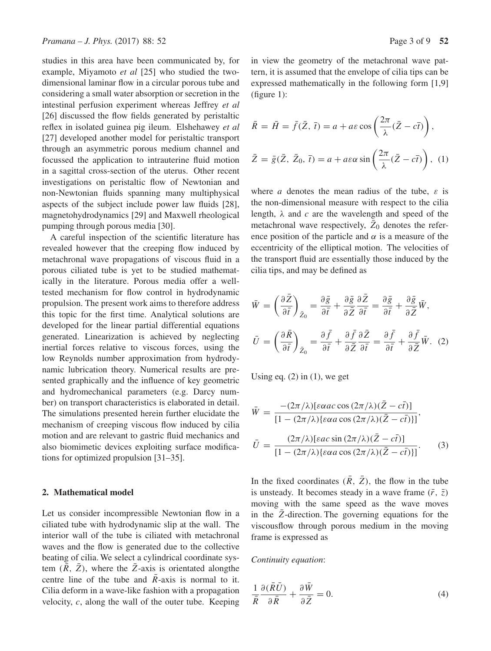studies in this area have been communicated by, for example, Miyamoto *et al* [25] who studied the twodimensional laminar flow in a circular porous tube and considering a small water absorption or secretion in the intestinal perfusion experiment whereas Jeffrey *et al* [26] discussed the flow fields generated by peristaltic reflex in isolated guinea pig ileum. Elshehawey *et al* [27] developed another model for peristaltic transport through an asymmetric porous medium channel and focussed the application to intrauterine fluid motion in a sagittal cross-section of the uterus. Other recent investigations on peristaltic flow of Newtonian and non-Newtonian fluids spanning many multiphysical aspects of the subject include power law fluids [28], magnetohydrodynamics [29] and Maxwell rheological pumping through porous media [30].

A careful inspection of the scientific literature has revealed however that the creeping flow induced by metachronal wave propagations of viscous fluid in a porous ciliated tube is yet to be studied mathematically in the literature. Porous media offer a welltested mechanism for flow control in hydrodynamic propulsion. The present work aims to therefore address this topic for the first time. Analytical solutions are developed for the linear partial differential equations generated. Linearization is achieved by neglecting inertial forces relative to viscous forces, using the low Reynolds number approximation from hydrodynamic lubrication theory. Numerical results are presented graphically and the influence of key geometric and hydromechanical parameters (e.g. Darcy number) on transport characteristics is elaborated in detail. The simulations presented herein further elucidate the mechanism of creeping viscous flow induced by cilia motion and are relevant to gastric fluid mechanics and also biomimetic devices exploiting surface modifications for optimized propulsion [31–35].

#### **2. Mathematical model**

Let us consider incompressible Newtonian flow in a ciliated tube with hydrodynamic slip at the wall. The interior wall of the tube is ciliated with metachronal waves and the flow is generated due to the collective beating of cilia. We select a cylindrical coordinate system  $(R, \bar{Z})$ , where the Z-axis is orientated alongthe centre line of the tube and  $\overline{R}$ -axis is normal to it. Cilia deform in a wave-like fashion with a propagation velocity,  $c$ , along the wall of the outer tube. Keeping in view the geometry of the metachronal wave pattern, it is assumed that the envelope of cilia tips can be expressed mathematically in the following form [1,9] (figure 1):

$$
\bar{R} = \bar{H} = \bar{f}(\bar{Z}, \bar{t}) = a + a\varepsilon \cos\left(\frac{2\pi}{\lambda}(\bar{Z} - c\bar{t})\right),
$$
  

$$
\bar{Z} = \bar{g}(\bar{Z}, \bar{Z}_0, \bar{t}) = a + a\varepsilon\alpha \sin\left(\frac{2\pi}{\lambda}(\bar{Z} - c\bar{t})\right), (1)
$$

where a denotes the mean radius of the tube,  $\varepsilon$  is the non-dimensional measure with respect to the cilia length,  $\lambda$  and c are the wavelength and speed of the metachronal wave respectively,  $\bar{Z}_0$  denotes the reference position of the particle and  $\alpha$  is a measure of the eccentricity of the elliptical motion. The velocities of the transport fluid are essentially those induced by the cilia tips, and may be defined as

$$
\bar{W} = \left(\frac{\partial \bar{Z}}{\partial \bar{t}}\right)_{\bar{Z}_0} = \frac{\partial \bar{g}}{\partial \bar{t}} + \frac{\partial \bar{g}}{\partial \bar{Z}} \frac{\partial \bar{Z}}{\partial \bar{t}} = \frac{\partial \bar{g}}{\partial \bar{t}} + \frac{\partial \bar{g}}{\partial \bar{Z}} \bar{W},
$$
\n
$$
\bar{U} = \left(\frac{\partial \bar{R}}{\partial \bar{t}}\right)_{\bar{Z}_0} = \frac{\partial \bar{f}}{\partial \bar{t}} + \frac{\partial \bar{f}}{\partial \bar{Z}} \frac{\partial \bar{Z}}{\partial \bar{t}} = \frac{\partial \bar{f}}{\partial \bar{t}} + \frac{\partial \bar{f}}{\partial \bar{Z}} \bar{W}. (2)
$$

Using eq.  $(2)$  in  $(1)$ , we get

$$
\bar{W} = \frac{-(2\pi/\lambda)[\varepsilon \alpha ac \cos(2\pi/\lambda)(\bar{Z} - c\bar{t})]}{[1 - (2\pi/\lambda)\{\varepsilon \alpha a \cos(2\pi/\lambda)(\bar{Z} - c\bar{t})\}]},
$$
\n
$$
\bar{U} = \frac{(2\pi/\lambda)[\varepsilon ac \sin(2\pi/\lambda)(\bar{Z} - c\bar{t})]}{[1 - (2\pi/\lambda)\{\varepsilon \alpha a \cos(2\pi/\lambda)(\bar{Z} - c\bar{t})\}]}. \tag{3}
$$

In the fixed coordinates  $(\overline{R}, \overline{Z})$ , the flow in the tube is unsteady. It becomes steady in a wave frame  $(\bar{r}, \bar{z})$ moving with the same speed as the wave moves in the  $\overline{Z}$ -direction. The governing equations for the viscousflow through porous medium in the moving frame is expressed as

*Continuity equation*:

$$
\frac{1}{\bar{R}}\frac{\partial(\bar{R}\bar{U})}{\partial\bar{R}} + \frac{\partial\bar{W}}{\partial\bar{Z}} = 0.
$$
 (4)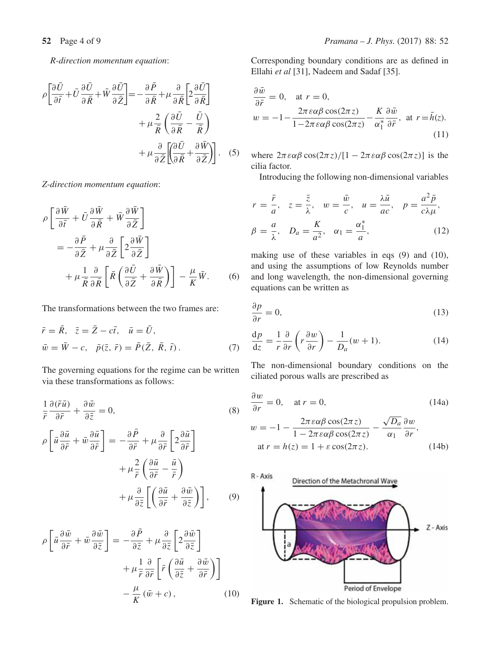*R-direction momentum equation*:

$$
\rho \left[ \frac{\partial \bar{U}}{\partial \bar{t}} + \bar{U} \frac{\partial \bar{U}}{\partial \bar{R}} + \bar{W} \frac{\partial \bar{U}}{\partial \bar{Z}} \right] = -\frac{\partial \bar{P}}{\partial \bar{R}} + \mu \frac{\partial}{\partial \bar{R}} \left[ 2 \frac{\partial \bar{U}}{\partial \bar{R}} \right] \n+ \mu \frac{2}{\bar{R}} \left( \frac{\partial \bar{U}}{\partial \bar{R}} - \frac{\bar{U}}{\bar{R}} \right) \n+ \mu \frac{\partial}{\partial \bar{Z}} \left[ \frac{\partial \bar{U}}{\partial \bar{R}} + \frac{\partial \bar{W}}{\partial \bar{Z}} \right].
$$
\n(5)

*Z-direction momentum equation*:

$$
\rho \left[ \frac{\partial \bar{W}}{\partial \bar{t}} + \bar{U} \frac{\partial \bar{W}}{\partial \bar{R}} + \bar{W} \frac{\partial \bar{W}}{\partial \bar{Z}} \right]
$$
  
= 
$$
- \frac{\partial \bar{P}}{\partial \bar{Z}} + \mu \frac{\partial}{\partial \bar{Z}} \left[ 2 \frac{\partial \bar{W}}{\partial \bar{Z}} \right]
$$
  
+ 
$$
\mu \frac{1}{\bar{R}} \frac{\partial}{\partial \bar{R}} \left[ \bar{R} \left( \frac{\partial \bar{U}}{\partial \bar{Z}} + \frac{\partial \bar{W}}{\partial \bar{R}} \right) \right] - \frac{\mu}{K} \bar{W}.
$$
 (6)

The transformations between the two frames are:

$$
\begin{aligned}\n\bar{r} &= \bar{R}, \quad \bar{z} = \bar{Z} - c\bar{t}, \quad \bar{u} = \bar{U}, \\
\bar{w} &= \bar{W} - c, \quad \bar{p}(\bar{z}, \bar{r}) = \bar{P}(\bar{Z}, \bar{R}, \bar{t}).\n\end{aligned} \tag{7}
$$

The governing equations for the regime can be written via these transformations as follows:

$$
\frac{1}{\bar{r}}\frac{\partial(\bar{r}\bar{u})}{\partial\bar{r}} + \frac{\partial\bar{w}}{\partial\bar{z}} = 0,
$$
\n(8)

$$
\rho \left[ \bar{u} \frac{\partial \bar{u}}{\partial \bar{r}} + \bar{w} \frac{\partial \bar{u}}{\partial \bar{r}} \right] = -\frac{\partial \bar{P}}{\partial \bar{r}} + \mu \frac{\partial}{\partial \bar{r}} \left[ 2 \frac{\partial \bar{u}}{\partial \bar{r}} \right] \n+ \mu \frac{2}{\bar{r}} \left( \frac{\partial \bar{u}}{\partial \bar{r}} - \frac{\bar{u}}{\bar{r}} \right) \n+ \mu \frac{\partial}{\partial \bar{z}} \left[ \left( \frac{\partial \bar{u}}{\partial \bar{r}} + \frac{\partial \bar{w}}{\partial \bar{z}} \right) \right],
$$
\n(9)

$$
\rho \left[ \bar{u} \frac{\partial \bar{w}}{\partial \bar{r}} + \bar{w} \frac{\partial \bar{w}}{\partial \bar{z}} \right] = -\frac{\partial \bar{P}}{\partial \bar{z}} + \mu \frac{\partial}{\partial \bar{z}} \left[ 2 \frac{\partial \bar{w}}{\partial \bar{z}} \right] \n+ \mu \frac{1}{\bar{r}} \frac{\partial}{\partial \bar{r}} \left[ \bar{r} \left( \frac{\partial \bar{u}}{\partial \bar{z}} + \frac{\partial \bar{w}}{\partial \bar{r}} \right) \right] \n- \frac{\mu}{K} (\bar{w} + c), \qquad (10)
$$

Corresponding boundary conditions are as defined in Ellahi *et al* [31], Nadeem and Sadaf [35].

$$
\frac{\partial \bar{w}}{\partial \bar{r}} = 0, \quad \text{at } r = 0,
$$
  

$$
w = -1 - \frac{2\pi \varepsilon \alpha \beta \cos(2\pi z)}{1 - 2\pi \varepsilon \alpha \beta \cos(2\pi z)} - \frac{K}{\alpha_1^*} \frac{\partial \bar{w}}{\partial \bar{r}}, \quad \text{at } r = \bar{h}(z).
$$
(11)

where  $2\pi \varepsilon \alpha \beta \cos(2\pi z) / [1 - 2\pi \varepsilon \alpha \beta \cos(2\pi z)]$  is the cilia factor.

Introducing the following non-dimensional variables

$$
r = \frac{\bar{r}}{a}, \quad z = \frac{\bar{z}}{\lambda}, \quad w = \frac{\bar{w}}{c}, \quad u = \frac{\lambda \bar{u}}{ac}, \quad p = \frac{a^2 \bar{p}}{c \lambda \mu},
$$

$$
\beta = \frac{a}{\lambda}, \quad D_a = \frac{K}{a^2}, \quad \alpha_1 = \frac{\alpha_1^*}{a}, \quad (12)
$$

making use of these variables in eqs (9) and (10), and using the assumptions of low Reynolds number and long wavelength, the non-dimensional governing equations can be written as

$$
\frac{\partial p}{\partial r} = 0,\t\t(13)
$$

$$
\frac{dp}{dz} = \frac{1}{r} \frac{\partial}{\partial r} \left( r \frac{\partial w}{\partial r} \right) - \frac{1}{D_a} (w + 1).
$$
 (14)

The non-dimensional boundary conditions on the ciliated porous walls are prescribed as

$$
\frac{\partial w}{\partial r} = 0, \quad \text{at } r = 0,
$$
\n
$$
w = -1 - \frac{2\pi \varepsilon \alpha \beta \cos(2\pi z)}{1 - 2\pi \varepsilon \alpha \beta \cos(2\pi z)} - \frac{\sqrt{D_a}}{\alpha_1} \frac{\partial w}{\partial r},
$$
\n
$$
\text{at } r = h(z) = 1 + \varepsilon \cos(2\pi z).
$$
\n(14b)



**Figure 1.** Schematic of the biological propulsion problem.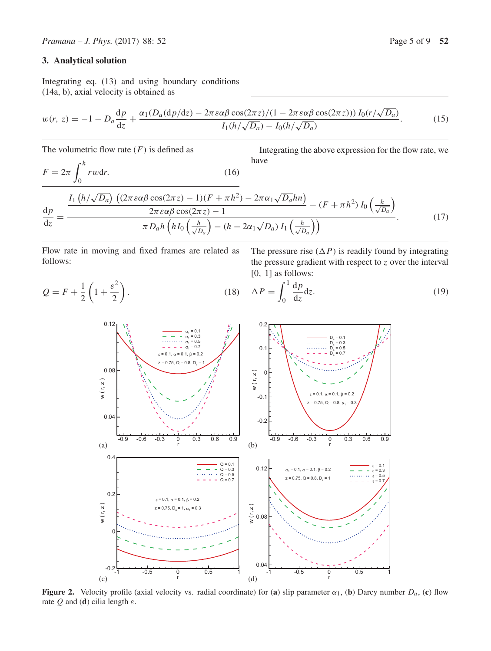## **3. Analytical solution**

 $Q = F +$ 

1 2  $\left(1+\frac{\varepsilon^2}{2}\right)$ 

 $\setminus$ 

Integrating eq. (13) and using boundary conditions (14a, b), axial velocity is obtained as

$$
w(r, z) = -1 - D_a \frac{dp}{dz} + \frac{\alpha_1 (D_a (dp/dz) - 2\pi \varepsilon \alpha \beta \cos(2\pi z)/(1 - 2\pi \varepsilon \alpha \beta \cos(2\pi z))) I_0(r/\sqrt{D_a})}{I_1(h/\sqrt{D_a}) - I_0(h/\sqrt{D_a})}.
$$
(15)

The volumetric flow rate  $(F)$  is defined as

$$
F = 2\pi \int_0^h r w dr.
$$
 (16)

Integrating the above expression for the flow rate, we have

$$
\frac{dp}{dz} = \frac{\frac{I_1\left(h/\sqrt{D_a}\right)\left((2\pi\varepsilon\alpha\beta\cos(2\pi z) - 1)(F + \pi h^2) - 2\pi\alpha_1\sqrt{D_a}hn\right)}{2\pi\varepsilon\alpha\beta\cos(2\pi z) - 1} - (F + \pi h^2)I_0\left(\frac{h}{\sqrt{D_a}}\right)}{\pi D_a h\left(hI_0\left(\frac{h}{\sqrt{D_a}}\right) - (h - 2\alpha_1\sqrt{D_a})I_1\left(\frac{h}{\sqrt{D_a}}\right)\right)}.
$$
(17)

Flow rate in moving and fixed frames are related as follows:

The pressure rise  $(\Delta P)$  is readily found by integrating the pressure gradient with respect to  $z$  over the interval [0, 1] as follows:

$$
(18) \quad \Delta P = \int_0^1 \frac{\mathrm{d}p}{\mathrm{d}z} \mathrm{d}z. \tag{19}
$$



**Figure 2.** Velocity profile (axial velocity vs. radial coordinate) for (**a**) slip parameter  $\alpha_1$ , (**b**) Darcy number  $D_a$ , (**c**) flow rate  $Q$  and (**d**) cilia length  $\varepsilon$ .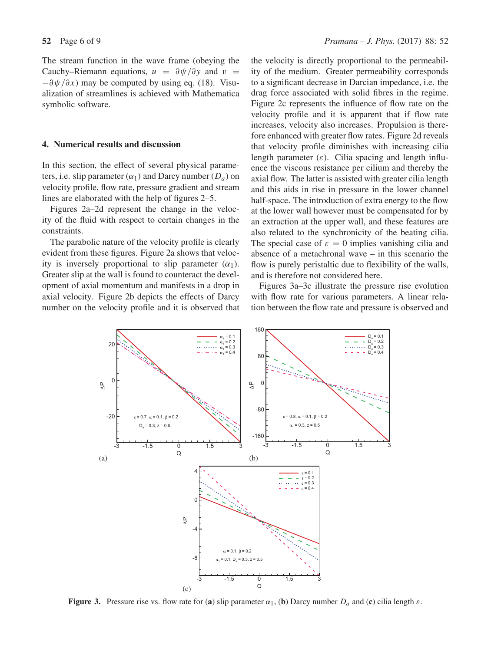The stream function in the wave frame (obeying the Cauchy–Riemann equations,  $u = \frac{\partial \psi}{\partial y}$  and  $v =$  $-\partial \psi/\partial x$ ) may be computed by using eq. (18). Visualization of streamlines is achieved with Mathematica symbolic software.

#### **4. Numerical results and discussion**

In this section, the effect of several physical parameters, i.e. slip parameter  $(\alpha_1)$  and Darcy number  $(D_a)$  on velocity profile, flow rate, pressure gradient and stream lines are elaborated with the help of figures 2–5.

Figures 2a–2d represent the change in the velocity of the fluid with respect to certain changes in the constraints.

The parabolic nature of the velocity profile is clearly evident from these figures. Figure 2a shows that velocity is inversely proportional to slip parameter  $(\alpha_1)$ . Greater slip at the wall is found to counteract the development of axial momentum and manifests in a drop in axial velocity. Figure 2b depicts the effects of Darcy number on the velocity profile and it is observed that the velocity is directly proportional to the permeability of the medium. Greater permeability corresponds to a significant decrease in Darcian impedance, i.e. the drag force associated with solid fibres in the regime. Figure 2c represents the influence of flow rate on the velocity profile and it is apparent that if flow rate increases, velocity also increases. Propulsion is therefore enhanced with greater flow rates. Figure 2d reveals that velocity profile diminishes with increasing cilia length parameter  $(\varepsilon)$ . Cilia spacing and length influence the viscous resistance per cilium and thereby the axial flow. The latter is assisted with greater cilia length and this aids in rise in pressure in the lower channel half-space. The introduction of extra energy to the flow at the lower wall however must be compensated for by an extraction at the upper wall, and these features are also related to the synchronicity of the beating cilia. The special case of  $\varepsilon = 0$  implies vanishing cilia and absence of a metachronal wave – in this scenario the flow is purely peristaltic due to flexibility of the walls, and is therefore not considered here.

Figures 3a–3c illustrate the pressure rise evolution with flow rate for various parameters. A linear relation between the flow rate and pressure is observed and



**Figure 3.** Pressure rise vs. flow rate for (a) slip parameter  $\alpha_1$ , (b) Darcy number  $D_a$  and (c) cilia length  $\varepsilon$ .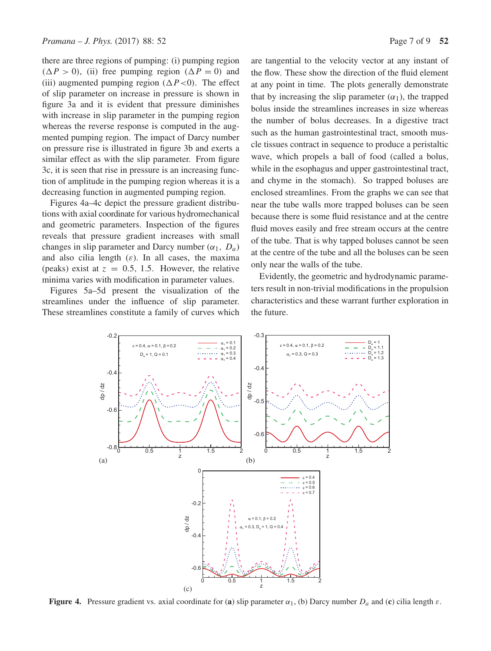there are three regions of pumping: (i) pumping region  $(\Delta P > 0)$ , (ii) free pumping region  $(\Delta P = 0)$  and (iii) augmented pumping region ( $\Delta P < 0$ ). The effect of slip parameter on increase in pressure is shown in figure 3a and it is evident that pressure diminishes with increase in slip parameter in the pumping region whereas the reverse response is computed in the augmented pumping region. The impact of Darcy number on pressure rise is illustrated in figure 3b and exerts a similar effect as with the slip parameter. From figure 3c, it is seen that rise in pressure is an increasing function of amplitude in the pumping region whereas it is a decreasing function in augmented pumping region.

Figures 4a–4c depict the pressure gradient distributions with axial coordinate for various hydromechanical and geometric parameters. Inspection of the figures reveals that pressure gradient increases with small changes in slip parameter and Darcy number  $(\alpha_1, D_a)$ and also cilia length  $(\varepsilon)$ . In all cases, the maxima (peaks) exist at  $z = 0.5, 1.5$ . However, the relative minima varies with modification in parameter values.

Figures 5a–5d present the visualization of the streamlines under the influence of slip parameter. These streamlines constitute a family of curves which

> $\varepsilon = 0.4$ ,  $\alpha = 0.1$ ,  $\beta = 0.2$  $D_1 = 1, Q = 0.1$

dp / dz

-0.6

 $-0.4$ 

 $-0.2$ 

 $\frac{1}{z}$ 

dp / dz

-0.6

 $-0.4$ 

-0.2

 $\mathcal{C}_{\mathcal{C}}$ 

 $-0.8\frac{1}{0.5}$   $-0.5\frac{1}{1.5}$   $-1.5$  2

(a)  $\qquad \qquad \qquad$  (b)

are tangential to the velocity vector at any instant of the flow. These show the direction of the fluid element at any point in time. The plots generally demonstrate that by increasing the slip parameter  $(\alpha_1)$ , the trapped bolus inside the streamlines increases in size whereas the number of bolus decreases. In a digestive tract such as the human gastrointestinal tract, smooth muscle tissues contract in sequence to produce a peristaltic wave, which propels a ball of food (called a bolus, while in the esophagus and upper gastrointestinal tract, and chyme in the stomach). So trapped boluses are enclosed streamlines. From the graphs we can see that near the tube walls more trapped boluses can be seen because there is some fluid resistance and at the centre fluid moves easily and free stream occurs at the centre of the tube. That is why tapped boluses cannot be seen at the centre of the tube and all the boluses can be seen only near the walls of the tube.

Evidently, the geometric and hydrodynamic parameters result in non-trivial modifications in the propulsion characteristics and these warrant further exploration in the future.

> $D_a = 1$  $D_{0}^{\dagger}$  = 1.1  $= 1.2$  $D_8$

z

 $\varepsilon = 0.4$  $\varepsilon = 0.5$  $= 0.6$  $\varepsilon = 0.7$ 

0 0.5 1 1.5 2



 $\alpha_{1} = 0.1$  $\frac{1}{1} = 0.2$ <br> $\frac{1}{1} = 0.3$  $\alpha_{1} = 0.4$ 

dp / dz

-0.6

 $= 0.1, \beta = 0.2$  $= 0.3, D = 1, Q = 0.4$ 

-0.5

-0.4

-0.3

 $\varepsilon = 0.4$ ,  $\alpha = 0.1$ ,  $\beta = 0.2$  $\alpha_{1} = 0.3$ , Q = 0.3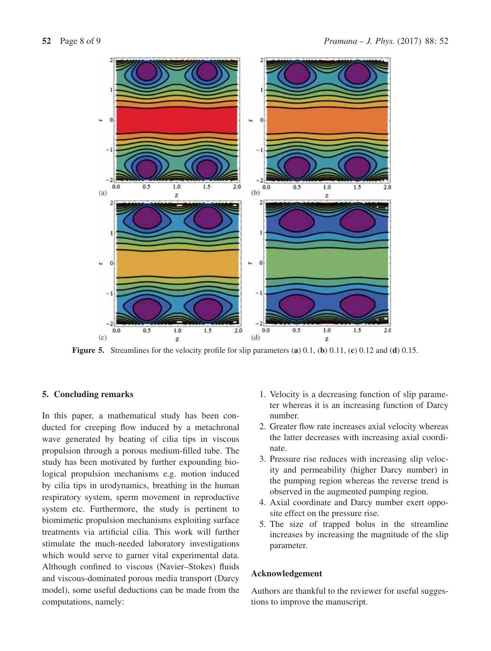

**Figure 5.** Streamlines for the velocity profile for slip parameters (**a**) 0.1, (**b**) 0.11, (**c**) 0.12 and (**d**) 0.15.

## **5. Concluding remarks**

In this paper, a mathematical study has been conducted for creeping flow induced by a metachronal wave generated by beating of cilia tips in viscous propulsion through a porous medium-filled tube. The study has been motivated by further expounding biological propulsion mechanisms e.g. motion induced by cilia tips in urodynamics, breathing in the human respiratory system, sperm movement in reproductive system etc. Furthermore, the study is pertinent to biomimetic propulsion mechanisms exploiting surface treatments via artificial cilia. This work will further stimulate the much-needed laboratory investigations which would serve to garner vital experimental data. Although confined to viscous (Navier–Stokes) fluids and viscous-dominated porous media transport (Darcy model), some useful deductions can be made from the computations, namely:

- 1. Velocity is a decreasing function of slip parameter whereas it is an increasing function of Darcy number.
- 2. Greater flow rate increases axial velocity whereas the latter decreases with increasing axial coordinate.
- 3. Pressure rise reduces with increasing slip velocity and permeability (higher Darcy number) in the pumping region whereas the reverse trend is observed in the augmented pumping region.
- 4. Axial coordinate and Darcy number exert opposite effect on the pressure rise.
- 5. The size of trapped bolus in the streamline increases by increasing the magnitude of the slip parameter.

### **Acknowledgement**

Authors are thankful to the reviewer for useful suggestions to improve the manuscript.